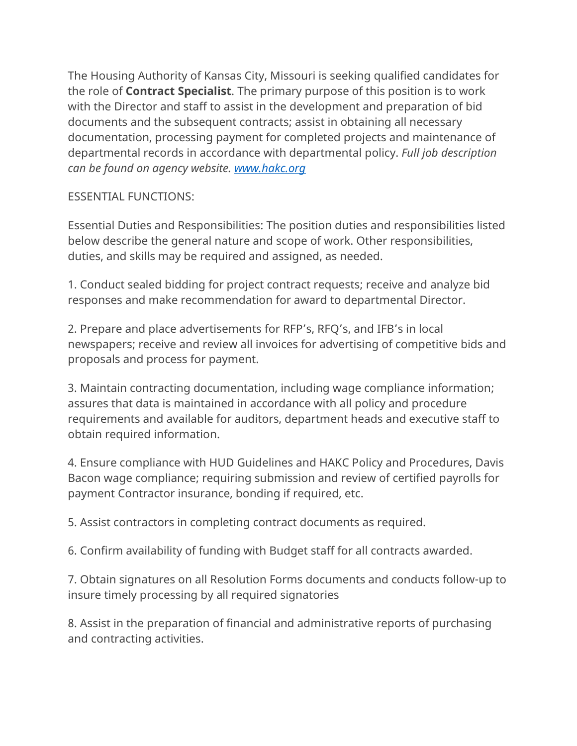The Housing Authority of Kansas City, Missouri is seeking qualified candidates for the role of **Contract Specialist**. The primary purpose of this position is to work with the Director and staff to assist in the development and preparation of bid documents and the subsequent contracts; assist in obtaining all necessary documentation, processing payment for completed projects and maintenance of departmental records in accordance with departmental policy. *Full job description can be found on agency website. [www.hakc.org](http://www.hakc.org/)* 

## ESSENTIAL FUNCTIONS:

Essential Duties and Responsibilities: The position duties and responsibilities listed below describe the general nature and scope of work. Other responsibilities, duties, and skills may be required and assigned, as needed.

1. Conduct sealed bidding for project contract requests; receive and analyze bid responses and make recommendation for award to departmental Director.

2. Prepare and place advertisements for RFP's, RFQ's, and IFB's in local newspapers; receive and review all invoices for advertising of competitive bids and proposals and process for payment.

3. Maintain contracting documentation, including wage compliance information; assures that data is maintained in accordance with all policy and procedure requirements and available for auditors, department heads and executive staff to obtain required information.

4. Ensure compliance with HUD Guidelines and HAKC Policy and Procedures, Davis Bacon wage compliance; requiring submission and review of certified payrolls for payment Contractor insurance, bonding if required, etc.

5. Assist contractors in completing contract documents as required.

6. Confirm availability of funding with Budget staff for all contracts awarded.

7. Obtain signatures on all Resolution Forms documents and conducts follow-up to insure timely processing by all required signatories

8. Assist in the preparation of financial and administrative reports of purchasing and contracting activities.